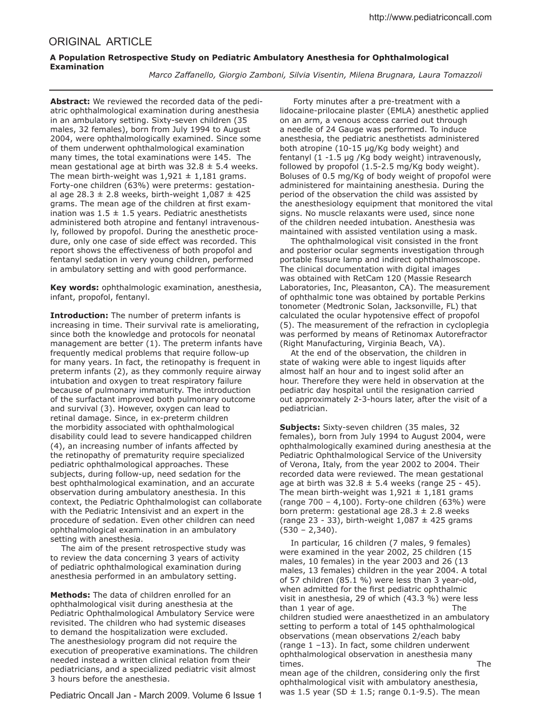## ORIGINAL ARTICLE

## **A Population Retrospective Study on Pediatric Ambulatory Anesthesia for Ophthalmological Examination**

 *Marco Zafanello, Giorgio Zamboni, Silvia Visentin, Milena Brugnara, Laura Tomazzoli*

**Abstract:** We reviewed the recorded data of the pediatric ophthalmological examination during anesthesia in an ambulatory setting. Sixty-seven children (35 males, 32 females), born from July 1994 to August 2004, were ophthalmologically examined. Since some of them underwent ophthalmological examination many times, the total examinations were 145. The mean gestational age at birth was  $32.8 \pm 5.4$  weeks. The mean birth-weight was  $1,921 \pm 1,181$  grams. Forty-one children (63%) were preterms: gestational age 28.3  $\pm$  2.8 weeks, birth-weight 1,087  $\pm$  425 grams. The mean age of the children at first examination was  $1.5 \pm 1.5$  years. Pediatric anesthetists administered both atropine and fentanyl intravenously, followed by propofol. During the anesthetic procedure, only one case of side effect was recorded. This report shows the efectiveness of both propofol and fentanyl sedation in very young children, performed in ambulatory setting and with good performance.

**Key words:** ophthalmologic examination, anesthesia, infant, propofol, fentanyl.

**Introduction:** The number of preterm infants is increasing in time. Their survival rate is ameliorating, since both the knowledge and protocols for neonatal management are better (1). The preterm infants have frequently medical problems that require follow-up for many years. In fact, the retinopathy is frequent in preterm infants (2), as they commonly require airway intubation and oxygen to treat respiratory failure because of pulmonary immaturity. The introduction of the surfactant improved both pulmonary outcome and survival (3). However, oxygen can lead to retinal damage. Since, in ex-preterm children the morbidity associated with ophthalmological disability could lead to severe handicapped children (4), an increasing number of infants afected by the retinopathy of prematurity require specialized pediatric ophthalmological approaches. These subjects, during follow-up, need sedation for the best ophthalmological examination, and an accurate observation during ambulatory anesthesia. In this context, the Pediatric Ophthalmologist can collaborate with the Pediatric Intensivist and an expert in the procedure of sedation. Even other children can need ophthalmological examination in an ambulatory setting with anesthesia.

 The aim of the present retrospective study was to review the data concerning 3 years of activity of pediatric ophthalmological examination during anesthesia performed in an ambulatory setting.

**Methods:** The data of children enrolled for an ophthalmological visit during anesthesia at the Pediatric Ophthalmological Ambulatory Service were revisited. The children who had systemic diseases to demand the hospitalization were excluded. The anesthesiology program did not require the execution of preoperative examinations. The children needed instead a written clinical relation from their pediatricians, and a specialized pediatric visit almost 3 hours before the anesthesia.

Pediatric Oncall Jan - March 2009. Volume 6 Issue 1

 Forty minutes after a pre-treatment with a lidocaine-prilocaine plaster (EMLA) anesthetic applied on an arm, a venous access carried out through a needle of 24 Gauge was performed. To induce anesthesia, the pediatric anesthetists administered both atropine (10-15 µg/Kg body weight) and fentanyl (1 -1.5 µg /Kg body weight) intravenously, followed by propofol (1.5-2.5 mg/Kg body weight). Boluses of 0.5 mg/Kg of body weight of propofol were administered for maintaining anesthesia. During the period of the observation the child was assisted by the anesthesiology equipment that monitored the vital signs. No muscle relaxants were used, since none of the children needed intubation. Anesthesia was maintained with assisted ventilation using a mask.

 The ophthalmological visit consisted in the front and posterior ocular segments investigation through portable fissure lamp and indirect ophthalmoscope. The clinical documentation with digital images was obtained with RetCam 120 (Massie Research Laboratories, Inc, Pleasanton, CA). The measurement of ophthalmic tone was obtained by portable Perkins tonometer (Medtronic Solan, Jacksonville, FL) that calculated the ocular hypotensive efect of propofol (5). The measurement of the refraction in cycloplegia was performed by means of Retinomax Autorefractor (Right Manufacturing, Virginia Beach, VA).

 At the end of the observation, the children in state of waking were able to ingest liquids after almost half an hour and to ingest solid after an hour. Therefore they were held in observation at the pediatric day hospital until the resignation carried out approximately 2-3-hours later, after the visit of a pediatrician.

**Subjects:** Sixty-seven children (35 males, 32 females), born from July 1994 to August 2004, were ophthalmologically examined during anesthesia at the Pediatric Ophthalmological Service of the University of Verona, Italy, from the year 2002 to 2004. Their recorded data were reviewed. The mean gestational age at birth was  $32.8 \pm 5.4$  weeks (range 25 - 45). The mean birth-weight was  $1,921 \pm 1,181$  grams (range 700 – 4,100). Forty-one children (63%) were born preterm: gestational age  $28.3 \pm 2.8$  weeks (range 23 - 33), birth-weight  $1,087 \pm 425$  grams (530 – 2,340).

 In particular, 16 children (7 males, 9 females) were examined in the year 2002, 25 children (15 males, 10 females) in the year 2003 and 26 (13 males, 13 females) children in the year 2004. A total of 57 children (85.1 %) were less than 3 year-old, when admitted for the first pediatric ophthalmic visit in anesthesia, 29 of which (43.3 %) were less than 1 year of age. The children studied were anaesthetized in an ambulatory setting to perform a total of 145 ophthalmological observations (mean observations 2/each baby (range 1 –13). In fact, some children underwent ophthalmological observation in anesthesia many times. The mean age of the children, considering only the first ophthalmological visit with ambulatory anesthesia, was 1.5 year (SD  $\pm$  1.5; range 0.1-9.5). The mean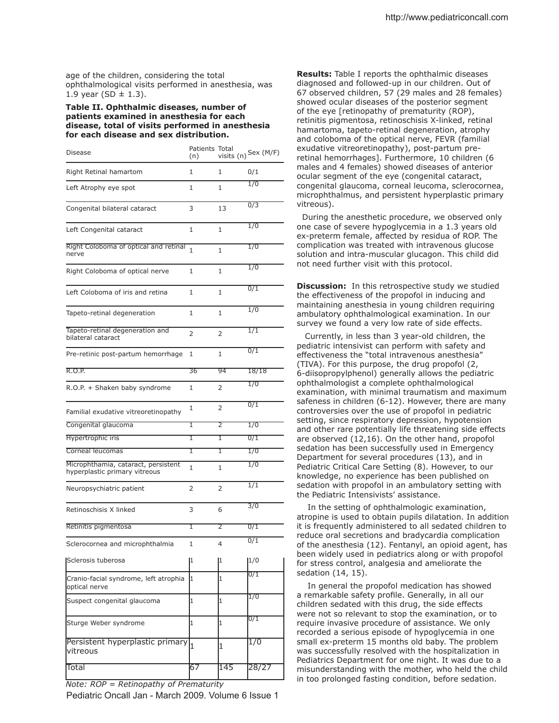age of the children, considering the total ophthalmological visits performed in anesthesia, was 1.9 year (SD  $\pm$  1.3).

## **Table II. Ophthalmic diseases, number of patients examined in anesthesia for each disease, total of visits performed in anesthesia for each disease and sex distribution.**

| Disease                                                              | Patients Total<br>(n) |                 | visits $(n)$ Sex $(M/F)$ |
|----------------------------------------------------------------------|-----------------------|-----------------|--------------------------|
| Right Retinal hamartom                                               | 1                     | 1               | 0/1                      |
| Left Atrophy eye spot                                                | 1                     | 1               | 1/0                      |
| Congenital bilateral cataract                                        | 3                     | 13              | 0/3                      |
| Left Congenital cataract                                             | 1                     | 1               | 1/0                      |
| Right Coloboma of optical and retinal<br>nerve                       | 1                     | 1               | 1/0                      |
| Right Coloboma of optical nerve                                      | 1                     | 1               | 1/0                      |
| Left Coloboma of iris and retina                                     | 1                     | 1               | 0/1                      |
| Tapeto-retinal degeneration                                          | 1                     | 1               | 1/0                      |
| Tapeto-retinal degeneration and<br>bilateral cataract                | 2                     | 2               | 1/1                      |
| Pre-retinic post-partum hemorrhage                                   | 1                     | 1               | 0/1                      |
| R.O.P.                                                               | 36                    | $\overline{94}$ | 18/18                    |
| R.O.P. + Shaken baby syndrome                                        | 1                     | 2               | 1/0                      |
| Familial exudative vitreoretinopathy                                 | 1                     | $\overline{2}$  | 0/1                      |
| Congenital glaucoma                                                  | 1                     | 2               | 1/0                      |
| Hypertrophic iris                                                    | ī                     | ī               | $\overline{0/1}$         |
| Corneal leucomas                                                     | ī                     | ī               | 1/0                      |
| Microphthamia, cataract, persistent<br>hyperplastic primary vitreous | 1                     | 1               | 1/0                      |
| Neuropsychiatric patient                                             | 2                     | 2               | 1/1                      |
| Retinoschisis X linked                                               | 3                     | 6               | $\overline{3/0}$         |
| Retinitis pigmentosa                                                 | ī                     | 2               | 0/1                      |
| Sclerocornea and microphthalmia                                      | 1                     | 4               | 0/1                      |
| Sclerosis tuberosa                                                   | 1                     | 1               | 1/0                      |
| Cranio-facial syndrome, left atrophia<br>optical nerve               | 1                     | 1               | 0/1                      |
| Suspect congenital glaucoma                                          | 1                     | $\mathbf{1}$    | 1/0                      |
| Sturge Weber syndrome                                                | 1                     | 1               | 0/1                      |
| Persistent hyperplastic primary<br>lvitreous                         | h.                    | 1               | 1/0                      |
| Total                                                                | 67                    | 145             | 28/27                    |

Pediatric Oncall Jan - March 2009. Volume 6 Issue 1

**Results:** Table I reports the ophthalmic diseases diagnosed and followed-up in our children. Out of 67 observed children, 57 (29 males and 28 females) showed ocular diseases of the posterior segment of the eye [retinopathy of prematurity (ROP), retinitis pigmentosa, retinoschisis X-linked, retinal hamartoma, tapeto-retinal degeneration, atrophy and coloboma of the optical nerve, FEVR (familial exudative vitreoretinopathy), post-partum preretinal hemorrhages]. Furthermore, 10 children (6 males and 4 females) showed diseases of anterior ocular segment of the eye (congenital cataract, congenital glaucoma, corneal leucoma, sclerocornea, microphthalmus, and persistent hyperplastic primary vitreous).

 During the anesthetic procedure, we observed only one case of severe hypoglycemia in a 1.3 years old ex-preterm female, afected by residua of ROP. The complication was treated with intravenous glucose solution and intra-muscular glucagon. This child did not need further visit with this protocol.

**Discussion:** In this retrospective study we studied the efectiveness of the propofol in inducing and maintaining anesthesia in young children requiring ambulatory ophthalmological examination. In our survey we found a very low rate of side effects.

 Currently, in less than 3 year-old children, the pediatric intensivist can perform with safety and effectiveness the "total intravenous anesthesia" (TIVA). For this purpose, the drug propofol (2, 6-diisopropylphenol) generally allows the pediatric ophthalmologist a complete ophthalmological examination, with minimal traumatism and maximum safeness in children (6-12). However, there are many controversies over the use of propofol in pediatric setting, since respiratory depression, hypotension and other rare potentially life threatening side efects are observed (12,16). On the other hand, propofol sedation has been successfully used in Emergency Department for several procedures (13), and in Pediatric Critical Care Setting (8). However, to our knowledge, no experience has been published on sedation with propofol in an ambulatory setting with the Pediatric Intensivists' assistance.

 In the setting of ophthalmologic examination, atropine is used to obtain pupils dilatation. In addition it is frequently administered to all sedated children to reduce oral secretions and bradycardia complication of the anesthesia (12). Fentanyl, an opioid agent, has been widely used in pediatrics along or with propofol for stress control, analgesia and ameliorate the sedation (14, 15).

 In general the propofol medication has showed a remarkable safety profile. Generally, in all our children sedated with this drug, the side efects were not so relevant to stop the examination, or to require invasive procedure of assistance. We only recorded a serious episode of hypoglycemia in one small ex-preterm 15 months old baby. The problem was successfully resolved with the hospitalization in Pediatrics Department for one night. It was due to a misunderstanding with the mother, who held the child in too prolonged fasting condition, before sedation. *Note: ROP = Retinopathy of Prematurity*